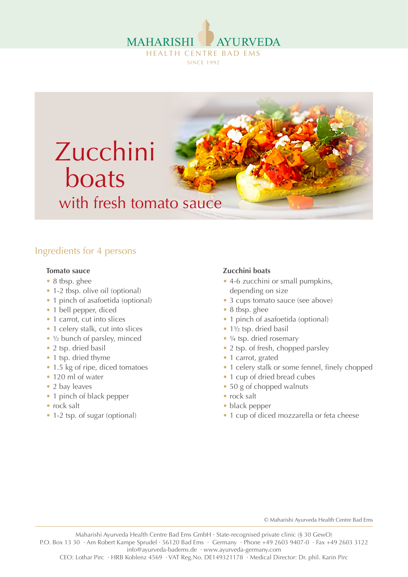



## Ingredients for 4 persons

#### **Tomato sauce**

- 8 tbsp. ghee
- 1-2 tbsp. olive oil (optional)
- 1 pinch of asafoetida (optional)
- 1 bell pepper, diced
- 1 carrot, cut into slices
- 1 celery stalk, cut into slices
- ½ bunch of parsley, minced
- 2 tsp. dried basil
- 1 tsp. dried thyme
- 1.5 kg of ripe, diced tomatoes
- 120 ml of water
- 2 bay leaves
- 1 pinch of black pepper
- rock salt
- 1-2 tsp. of sugar (optional)

## **Zucchini boats**

- 4-6 zucchini or small pumpkins, depending on size
- 3 cups tomato sauce (see above)
- 8 tbsp. ghee
- 1 pinch of asafoetida (optional)
- $\bullet$  1½ tsp. dried basil
- $\frac{1}{4}$  tsp. dried rosemary
- 2 tsp. of fresh, chopped parsley
- 1 carrot, grated
- 1 celery stalk or some fennel, finely chopped
- 1 cup of dried bread cubes
- 50 g of chopped walnuts
- rock salt
- black pepper
- 1 cup of diced mozzarella or feta cheese

© Maharishi Ayurveda Health Centre Bad Ems

Maharishi Ayurveda Health Centre Bad Ems GmbH · State-recognised private clinic (§ 30 GewO) P.O. Box 13 30 · Am Robert Kampe Sprudel · 56120 Bad Ems · Germany · Phone +49 2603 9407-0 · Fax +49 2603 3122 info@ayurveda-badems.de · www.ayurveda-germany.com

CEO: Lothar Pirc · HRB Koblenz 4569 · VAT Reg.No. DE149321178 · Medical Director: Dr. phil. Karin Pirc